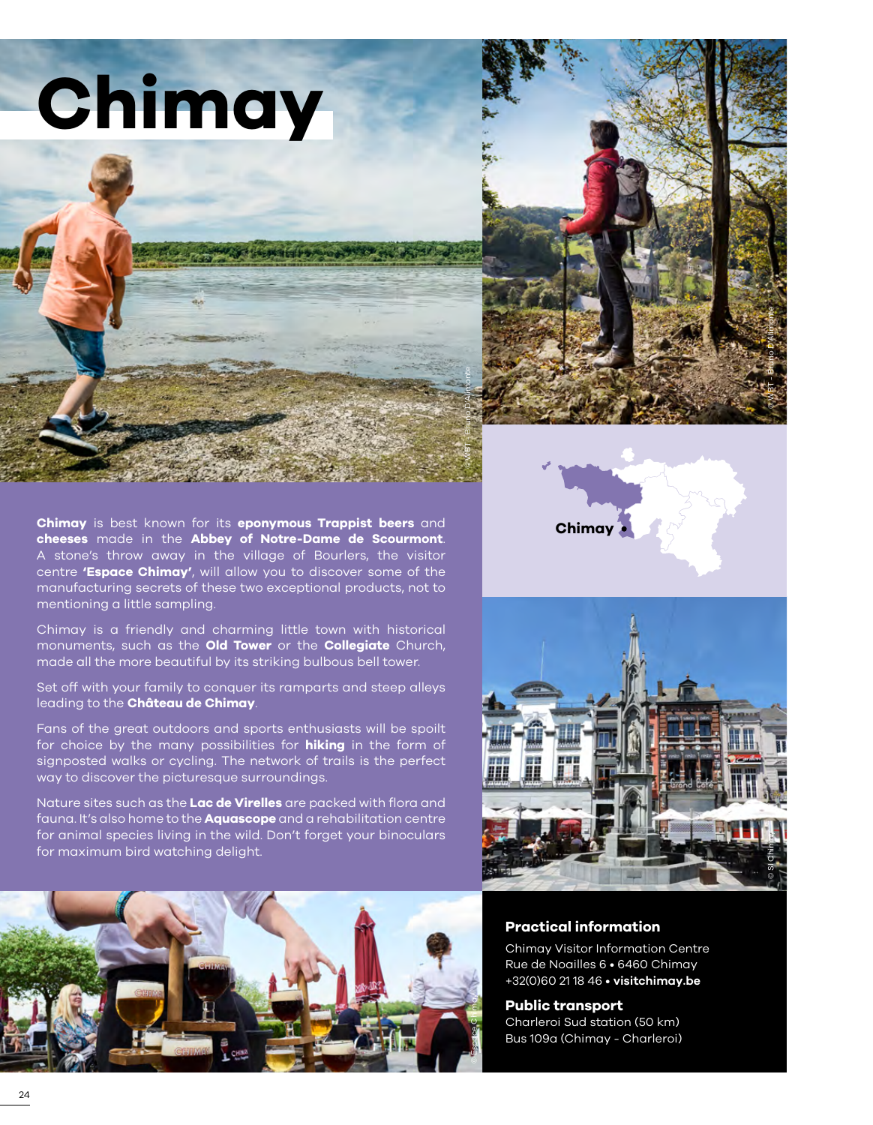



**Chimay** is best known for its **eponymous Trappist beers** and **cheeses** made in the **Abbey of Notre-Dame de Scourmont**. A stone's throw away in the village of Bourlers, the visitor centre **'Espace Chimay'**, will allow you to discover some of the manufacturing secrets of these two exceptional products, not to mentioning a little sampling.

Chimay is a friendly and charming little town with historical monuments, such as the **Old Tower** or the **Collegiate** Church, made all the more beautiful by its striking bulbous bell tower.

Set off with your family to conquer its ramparts and steep alleys leading to the **Château de Chimay**.

Fans of the great outdoors and sports enthusiasts will be spoilt for choice by the many possibilities for **hiking** in the form of signposted walks or cycling. The network of trails is the perfect way to discover the picturesque surroundings.

Nature sites such as the **Lac de Virelles** are packed with flora and fauna. It's also home to the **Aquascope** and a rehabilitation centre for animal species living in the wild. Don't forget your binoculars for maximum bird watching delight.







#### **Practical information**

Chimay Visitor Information Centre Rue de Noailles 6 • 6460 Chimay +32(0)60 21 18 46 • **[visitchimay.be](https://visitchimay.be/)**

**Public transport** Charleroi Sud station (50 km)

Bus 109a (Chimay - Charleroi)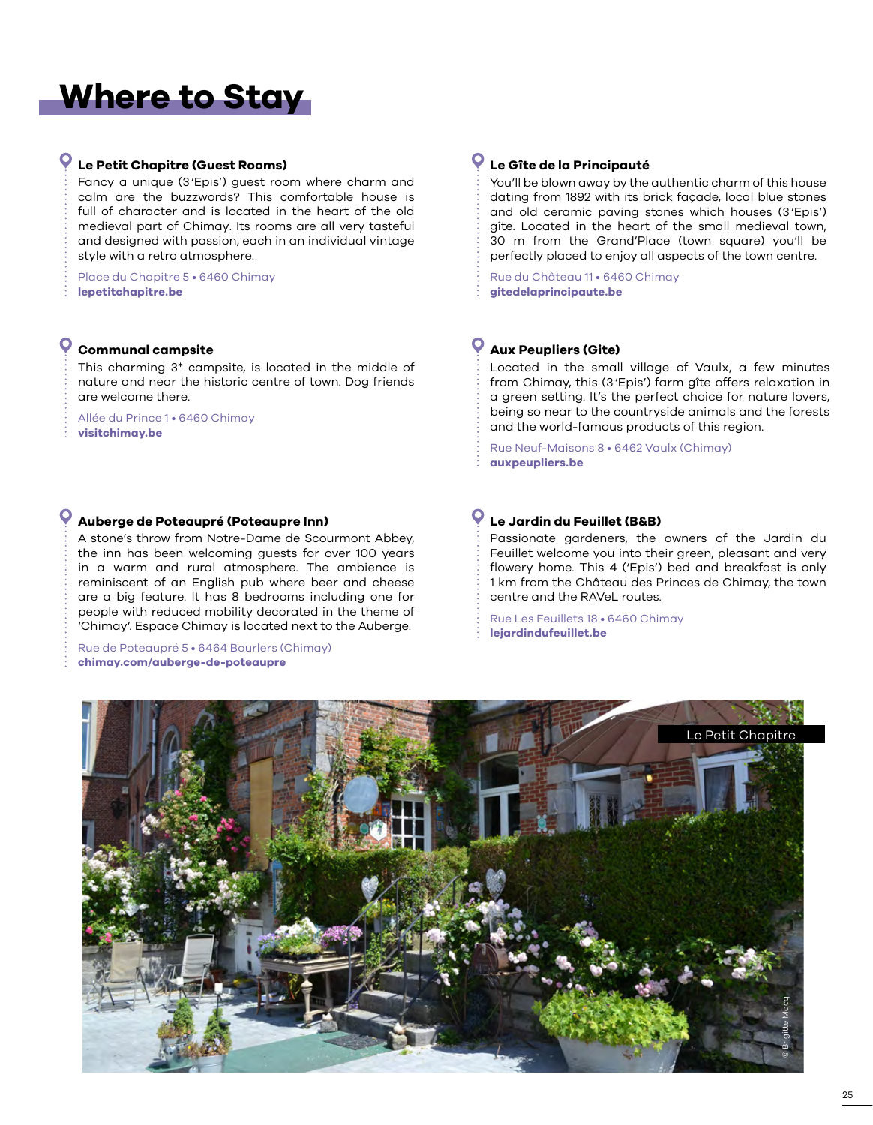# **Where to Stay**

## **Le Petit Chapitre (Guest Rooms)**

Fancy a unique (3'Epis') guest room where charm and calm are the buzzwords? This comfortable house is full of character and is located in the heart of the old medieval part of Chimay. Its rooms are all very tasteful and designed with passion, each in an individual vintage style with a retro atmosphere.

Place du Chapitre 5 • 6460 Chimay **[lepetitchapitre.be](www.lepetitchapitre.be)**

## **Communal campsite**

This charming 3\* campsite, is located in the middle of nature and near the historic centre of town. Dog friends are welcome there.

Allée du Prince 1 • 6460 Chimay **[visitchimay.be](https://visitchimay.be/project/camping-communal-de-chimay/)**

#### **Auberge de Poteaupré (Poteaupre Inn)**

A stone's throw from Notre-Dame de Scourmont Abbey, the inn has been welcoming guests for over 100 years in a warm and rural atmosphere. The ambience is reminiscent of an English pub where beer and cheese are a big feature. It has 8 bedrooms including one for people with reduced mobility decorated in the theme of 'Chimay'. Espace Chimay is located next to the Auberge.

Rue de Poteaupré 5 • 6464 Bourlers (Chimay) **[chimay.com/auberge-de-poteaupre](https://chimay.com/auberge-de-poteaupre/)**

#### $\mathbf{\Omega}$ **Le Gîte de la Principauté**

You'll be blown away by the authentic charm of this house dating from 1892 with its brick façade, local blue stones and old ceramic paving stones which houses (3'Epis') gîte. Located in the heart of the small medieval town, 30 m from the Grand'Place (town square) you'll be perfectly placed to enjoy all aspects of the town centre.

Rue du Château 11 • 6460 Chimay **[gitedelaprincipaute.be](www.gitedelaprincipaute.be)**

#### $\bullet$ **Aux Peupliers (Gite)**

Located in the small village of Vaulx, a few minutes from Chimay, this (3'Epis') farm gîte offers relaxation in a green setting. It's the perfect choice for nature lovers, being so near to the countryside animals and the forests and the world-famous products of this region.

Rue Neuf-Maisons 8 • 6462 Vaulx (Chimay) **[auxpeupliers.be](https://www.auxpeupliers.be/)**

#### **Le Jardin du Feuillet (B&B)**

Passionate gardeners, the owners of the Jardin du Feuillet welcome you into their green, pleasant and very flowery home. This 4 ('Epis') bed and breakfast is only 1 km from the Château des Princes de Chimay, the town centre and the RAVeL routes.

Rue Les Feuillets 18 • 6460 Chimay **[lejardindufeuillet.be](https://www.lejardindufeuillet.be/)**

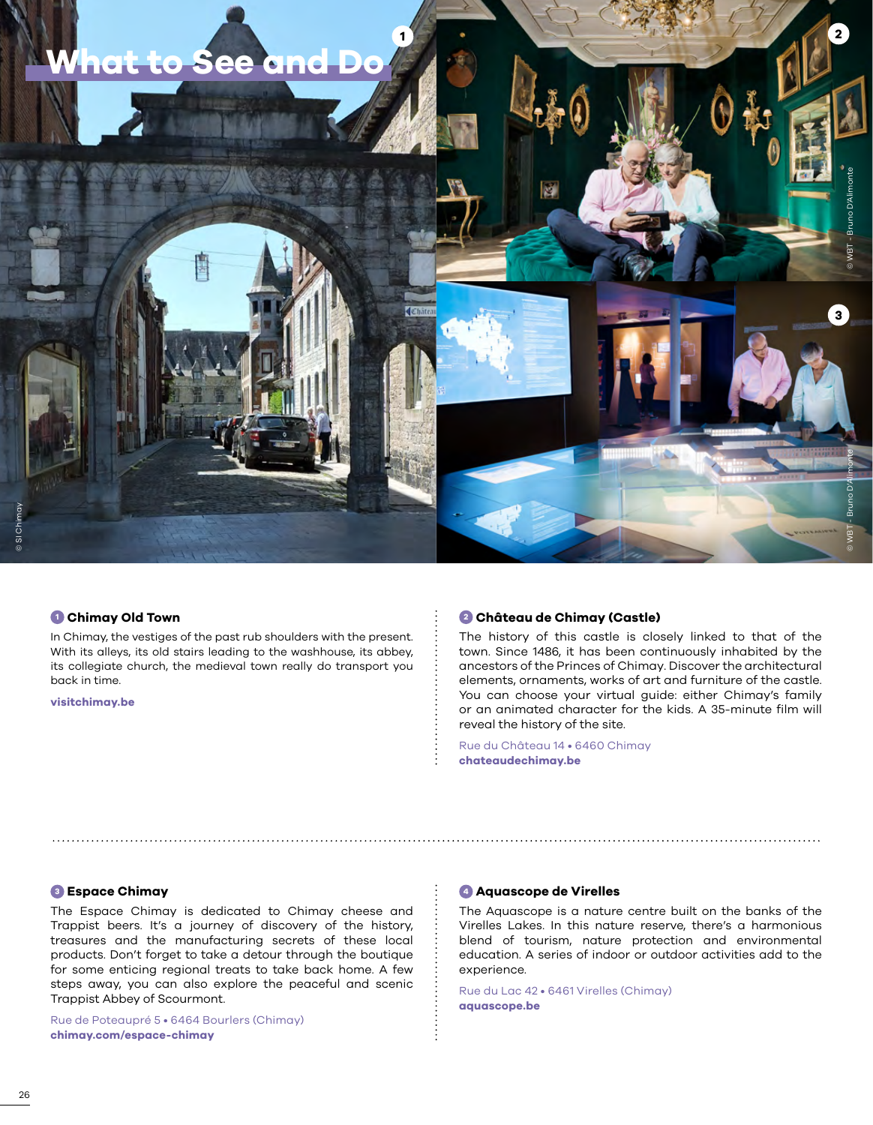

#### **<sup>1</sup> Chimay Old Town**

In Chimay, the vestiges of the past rub shoulders with the present. With its alleys, its old stairs leading to the washhouse, its abbey, its collegiate church, the medieval town really do transport you back in time.

**[visitchimay.be](https://visitchimay.be/)**

#### **<sup>2</sup> Château de Chimay (Castle)**

The history of this castle is closely linked to that of the town. Since 1486, it has been continuously inhabited by the ancestors of the Princes of Chimay. Discover the architectural elements, ornaments, works of art and furniture of the castle. You can choose your virtual guide: either Chimay's family or an animated character for the kids. A 35-minute film will reveal the history of the site.

Rue du Château 14 • 6460 Chimay **[chateaudechimay.be](https://chateaudechimay.be/)**

#### **<sup>3</sup> Espace Chimay**

The Espace Chimay is dedicated to Chimay cheese and Trappist beers. It's a journey of discovery of the history, treasures and the manufacturing secrets of these local products. Don't forget to take a detour through the boutique for some enticing regional treats to take back home. A few steps away, you can also explore the peaceful and scenic Trappist Abbey of Scourmont.

Rue de Poteaupré 5 • 6464 Bourlers (Chimay) **[chimay.com/espace-chimay](http://chimay.com/espace-chimay.be/)**

#### **<sup>4</sup> Aquascope de Virelles**

The Aquascope is a nature centre built on the banks of the Virelles Lakes. In this nature reserve, there's a harmonious blend of tourism, nature protection and environmental education. A series of indoor or outdoor activities add to the experience.

Rue du Lac 42 • 6461 Virelles (Chimay) **[aquascope.be](http://www.aquascope.be/website/)**